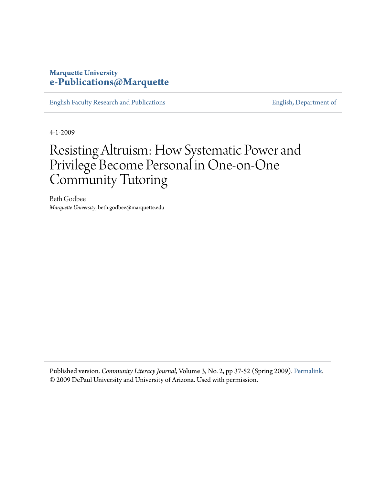## **Marquette University [e-Publications@Marquette](https://epublications.marquette.edu)**

[English Faculty Research and Publications](https://epublications.marquette.edu/english_fac) **[English, Department of](https://epublications.marquette.edu/english)** English, Department of

4-1-2009

# Resisting Altruism: How Systematic Power and Privilege Become Personal in One-on-One Community Tutoring

Beth Godbee *Marquette University*, beth.godbee@marquette.edu

Published version. *Community Literacy Journal,* Volume 3, No. 2, pp 37-52 (Spring 2009). [Permalink.](http://www.communityliteracy.org/index.php/clj/article/view/84) © 2009 DePaul University and University of Arizona. Used with permission.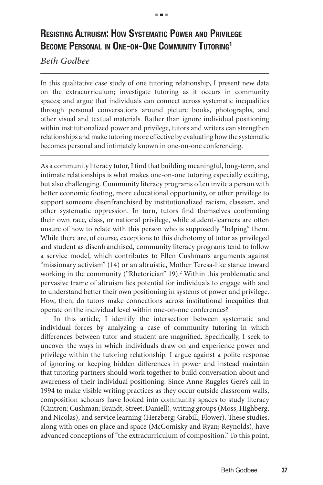## **Resisting Altruism: How Systematic Power and Privilege Become Personal in One-on-One Community Tutoring1**

### *Beth Godbee*

In this qualitative case study of one tutoring relationship, I present new data on the extracurriculum; investigate tutoring as it occurs in community spaces; and argue that individuals can connect across systematic inequalities through personal conversations around picture books, photographs, and other visual and textual materials. Rather than ignore individual positioning within institutionalized power and privilege, tutors and writers can strengthen relationships and make tutoring more effective by evaluating how the systematic becomes personal and intimately known in one-on-one conferencing.

As a community literacy tutor, I find that building meaningful, long-term, and intimate relationships is what makes one-on-one tutoring especially exciting, but also challenging. Community literacy programs often invite a person with better economic footing, more educational opportunity, or other privilege to support someone disenfranchised by institutionalized racism, classism, and other systematic oppression. In turn, tutors find themselves confronting their own race, class, or national privilege, while student-learners are often unsure of how to relate with this person who is supposedly "helping" them. While there are, of course, exceptions to this dichotomy of tutor as privileged and student as disenfranchised, community literacy programs tend to follow a service model, which contributes to Ellen Cushman's arguments against "missionary activism" (14) or an altruistic, Mother Teresa-like stance toward working in the community ("Rhetorician" 19).<sup>2</sup> Within this problematic and pervasive frame of altruism lies potential for individuals to engage with and to understand better their own positioning in systems of power and privilege. How, then, do tutors make connections across institutional inequities that operate on the individual level within one-on-one conferences?

In this article, I identify the intersection between systematic and individual forces by analyzing a case of community tutoring in which differences between tutor and student are magnified. Specifically, I seek to uncover the ways in which individuals draw on and experience power and privilege within the tutoring relationship. I argue against a polite response of ignoring or keeping hidden differences in power and instead maintain that tutoring partners should work together to build conversation about and awareness of their individual positioning. Since Anne Ruggles Gere's call in 1994 to make visible writing practices as they occur outside classroom walls, composition scholars have looked into community spaces to study literacy (Cintron; Cushman; Brandt; Street; Daniell), writing groups (Moss, Highberg, and Nicolas), and service learning (Herzberg; Grabill; Flower). These studies, along with ones on place and space (McComisky and Ryan; Reynolds), have advanced conceptions of "the extracurriculum of composition." To this point,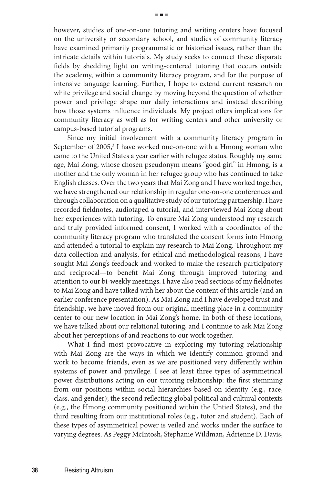however, studies of one-on-one tutoring and writing centers have focused on the university or secondary school, and studies of community literacy have examined primarily programmatic or historical issues, rather than the intricate details within tutorials. My study seeks to connect these disparate fields by shedding light on writing-centered tutoring that occurs outside the academy, within a community literacy program, and for the purpose of intensive language learning. Further, I hope to extend current research on white privilege and social change by moving beyond the question of whether power and privilege shape our daily interactions and instead describing how those systems influence individuals. My project offers implications for community literacy as well as for writing centers and other university or campus-based tutorial programs.

Since my initial involvement with a community literacy program in September of 2005,<sup>3</sup> I have worked one-on-one with a Hmong woman who came to the United States a year earlier with refugee status. Roughly my same age, Mai Zong, whose chosen pseudonym means "good girl" in Hmong, is a mother and the only woman in her refugee group who has continued to take English classes. Over the two years that Mai Zong and I have worked together, we have strengthened our relationship in regular one-on-one conferences and through collaboration on a qualitative study of our tutoring partnership. I have recorded fieldnotes, audiotaped a tutorial, and interviewed Mai Zong about her experiences with tutoring. To ensure Mai Zong understood my research and truly provided informed consent, I worked with a coordinator of the community literacy program who translated the consent forms into Hmong and attended a tutorial to explain my research to Mai Zong. Throughout my data collection and analysis, for ethical and methodological reasons, I have sought Mai Zong's feedback and worked to make the research participatory and reciprocal—to benefit Mai Zong through improved tutoring and attention to our bi-weekly meetings. I have also read sections of my fieldnotes to Mai Zong and have talked with her about the content of this article (and an earlier conference presentation). As Mai Zong and I have developed trust and friendship, we have moved from our original meeting place in a community center to our new location in Mai Zong's home. In both of these locations, we have talked about our relational tutoring, and I continue to ask Mai Zong about her perceptions of and reactions to our work together.

What I find most provocative in exploring my tutoring relationship with Mai Zong are the ways in which we identify common ground and work to become friends, even as we are positioned very differently within systems of power and privilege. I see at least three types of asymmetrical power distributions acting on our tutoring relationship: the first stemming from our positions within social hierarchies based on identity (e.g., race, class, and gender); the second reflecting global political and cultural contexts (e.g., the Hmong community positioned within the Untied States), and the third resulting from our institutional roles (e.g., tutor and student). Each of these types of asymmetrical power is veiled and works under the surface to varying degrees. As Peggy McIntosh, Stephanie Wildman, Adrienne D. Davis,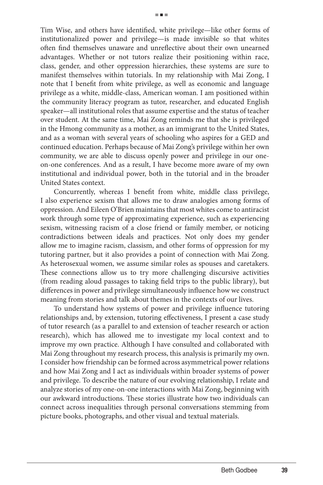Tim Wise, and others have identified, white privilege—like other forms of institutionalized power and privilege—is made invisible so that whites often find themselves unaware and unreflective about their own unearned advantages. Whether or not tutors realize their positioning within race, class, gender, and other oppression hierarchies, these systems are sure to manifest themselves within tutorials. In my relationship with Mai Zong, I note that I benefit from white privilege, as well as economic and language privilege as a white, middle-class, American woman. I am positioned within the community literacy program as tutor, researcher, and educated English speaker—all institutional roles that assume expertise and the status of teacher over student. At the same time, Mai Zong reminds me that she is privileged in the Hmong community as a mother, as an immigrant to the United States, and as a woman with several years of schooling who aspires for a GED and continued education. Perhaps because of Mai Zong's privilege within her own community, we are able to discuss openly power and privilege in our oneon-one conferences. And as a result, I have become more aware of my own institutional and individual power, both in the tutorial and in the broader United States context.

Concurrently, whereas I benefit from white, middle class privilege, I also experience sexism that allows me to draw analogies among forms of oppression. And Eileen O'Brien maintains that most whites come to antiracist work through some type of approximating experience, such as experiencing sexism, witnessing racism of a close friend or family member, or noticing contradictions between ideals and practices. Not only does my gender allow me to imagine racism, classism, and other forms of oppression for my tutoring partner, but it also provides a point of connection with Mai Zong. As heterosexual women, we assume similar roles as spouses and caretakers. These connections allow us to try more challenging discursive activities (from reading aloud passages to taking field trips to the public library), but differences in power and privilege simultaneously influence how we construct meaning from stories and talk about themes in the contexts of our lives.

To understand how systems of power and privilege influence tutoring relationships and, by extension, tutoring effectiveness, I present a case study of tutor research (as a parallel to and extension of teacher research or action research), which has allowed me to investigate my local context and to improve my own practice. Although I have consulted and collaborated with Mai Zong throughout my research process, this analysis is primarily my own. I consider how friendship can be formed across asymmetrical power relations and how Mai Zong and I act as individuals within broader systems of power and privilege. To describe the nature of our evolving relationship, I relate and analyze stories of my one-on-one interactions with Mai Zong, beginning with our awkward introductions. These stories illustrate how two individuals can connect across inequalities through personal conversations stemming from picture books, photographs, and other visual and textual materials.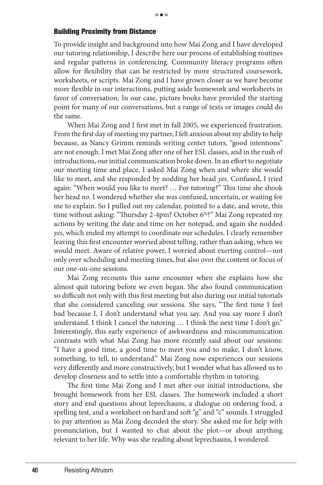#### Building Proximity from Distance

To provide insight and background into how Mai Zong and I have developed our tutoring relationship, I describe here our process of establishing routines and regular patterns in conferencing. Community literacy programs often allow for flexibility that can be restricted by more structured coursework, worksheets, or scripts. Mai Zong and I have grown closer as we have become more flexible in our interactions, putting aside homework and worksheets in favor of conversation. In our case, picture books have provided the starting point for many of our conversations, but a range of texts or images could do the same.

When Mai Zong and I first met in fall 2005, we experienced frustration. From the first day of meeting my partner, I felt anxious about my ability to help because, as Nancy Grimm reminds writing center tutors, "good intentions" are not enough. I met Mai Zong after one of her ESL classes, and in the rush of introductions, our initial communication broke down. In an effort to negotiate our meeting time and place, I asked Mai Zong when and where she would like to meet, and she responded by nodding her head *yes*. Confused, I tried again: "When would you like to meet? … For tutoring?" This time she shook her head *no*. I wondered whether she was confused, uncertain, or waiting for me to explain. So I pulled out my calendar, pointed to a date, and wrote, this time without asking: "Thursday 2-4pm? October  $6<sup>th</sup>$ ?" Mai Zong repeated my actions by writing the date and time on her notepad, and again she nodded *yes*, which ended my attempt to coordinate our schedules. I clearly remember leaving this first encounter worried about telling, rather than asking, when we would meet. Aware of relative power, I worried about exerting control—not only over scheduling and meeting times, but also over the content or focus of our one-on-one sessions.

Mai Zong recounts this same encounter when she explains how she almost quit tutoring before we even began. She also found communication so difficult not only with this first meeting but also during our initial tutorials that she considered canceling our sessions. She says, "The first time I feel bad because I, I don't understand what you say. And you say more I don't understand. I think I cancel the tutoring … I think the next time I don't go." Interestingly, this early experience of awkwardness and miscommunication contrasts with what Mai Zong has more recently said about our sessions: "I have a good time, a good time to meet you and to make, I don't know, something, to tell, to understand." Mai Zong now experiences our sessions very differently and more constructively, but I wonder what has allowed us to develop closeness and to settle into a comfortable rhythm in tutoring.

The first time Mai Zong and I met after our initial introductions, she brought homework from her ESL classes. The homework included a short story and end questions about leprechauns, a dialogue on ordering food, a spelling test, and a worksheet on hard and soft "g" and "c" sounds. I struggled to pay attention as Mai Zong decoded the story. She asked me for help with pronunciation, but I wanted to chat about the plot—or about anything relevant to her life. Why was she reading about leprechauns, I wondered.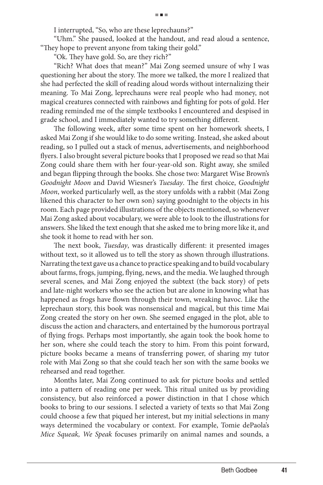I interrupted, "So, who are these leprechauns?"

"Uhm." She paused, looked at the handout, and read aloud a sentence, "They hope to prevent anyone from taking their gold."

"Ok. They have gold. So, are they rich?"

"Rich? What does that mean?" Mai Zong seemed unsure of why I was questioning her about the story. The more we talked, the more I realized that she had perfected the skill of reading aloud words without internalizing their meaning. To Mai Zong, leprechauns were real people who had money, not magical creatures connected with rainbows and fighting for pots of gold. Her reading reminded me of the simple textbooks I encountered and despised in grade school, and I immediately wanted to try something different.

The following week, after some time spent on her homework sheets, I asked Mai Zong if she would like to do some writing. Instead, she asked about reading, so I pulled out a stack of menus, advertisements, and neighborhood flyers. I also brought several picture books that I proposed we read so that Mai Zong could share them with her four-year-old son. Right away, she smiled and began flipping through the books. She chose two: Margaret Wise Brown's *Goodnight Moon* and David Wiesner's *Tuesday*. The first choice, *Goodnight Moon*, worked particularly well, as the story unfolds with a rabbit (Mai Zong likened this character to her own son) saying goodnight to the objects in his room. Each page provided illustrations of the objects mentioned, so whenever Mai Zong asked about vocabulary, we were able to look to the illustrations for answers. She liked the text enough that she asked me to bring more like it, and she took it home to read with her son.

The next book, *Tuesday*, was drastically different: it presented images without text, so it allowed us to tell the story as shown through illustrations. Narrating the text gave us a chance to practice speaking and to build vocabulary about farms, frogs, jumping, flying, news, and the media. We laughed through several scenes, and Mai Zong enjoyed the subtext (the back story) of pets and late-night workers who see the action but are alone in knowing what has happened as frogs have flown through their town, wreaking havoc. Like the leprechaun story, this book was nonsensical and magical, but this time Mai Zong created the story on her own. She seemed engaged in the plot, able to discuss the action and characters, and entertained by the humorous portrayal of flying frogs. Perhaps most importantly, she again took the book home to her son, where she could teach the story to him. From this point forward, picture books became a means of transferring power, of sharing my tutor role with Mai Zong so that she could teach her son with the same books we rehearsed and read together.

Months later, Mai Zong continued to ask for picture books and settled into a pattern of reading one per week. This ritual united us by providing consistency, but also reinforced a power distinction in that I chose which books to bring to our sessions. I selected a variety of texts so that Mai Zong could choose a few that piqued her interest, but my initial selections in many ways determined the vocabulary or context. For example, Tomie dePaola's *Mice Squeak, We Speak* focuses primarily on animal names and sounds, a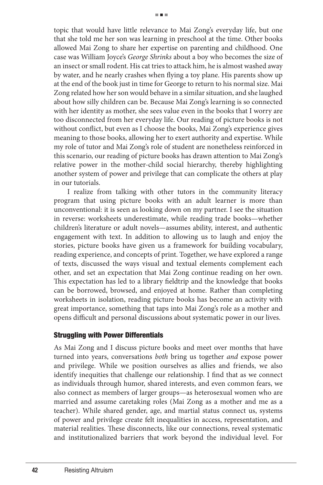topic that would have little relevance to Mai Zong's everyday life, but one that she told me her son was learning in preschool at the time. Other books allowed Mai Zong to share her expertise on parenting and childhood. One case was William Joyce's *George Shrinks* about a boy who becomes the size of an insect or small rodent. His cat tries to attack him, he is almost washed away by water, and he nearly crashes when flying a toy plane. His parents show up at the end of the book just in time for George to return to his normal size. Mai Zong related how her son would behave in a similar situation, and she laughed about how silly children can be. Because Mai Zong's learning is so connected with her identity as mother, she sees value even in the books that I worry are too disconnected from her everyday life. Our reading of picture books is not without conflict, but even as I choose the books, Mai Zong's experience gives meaning to those books, allowing her to exert authority and expertise. While my role of tutor and Mai Zong's role of student are nonetheless reinforced in this scenario, our reading of picture books has drawn attention to Mai Zong's relative power in the mother-child social hierarchy, thereby highlighting another system of power and privilege that can complicate the others at play in our tutorials.

I realize from talking with other tutors in the community literacy program that using picture books with an adult learner is more than unconventional: it is seen as looking down on my partner. I see the situation in reverse: worksheets underestimate, while reading trade books—whether children's literature or adult novels—assumes ability, interest, and authentic engagement with text. In addition to allowing us to laugh and enjoy the stories, picture books have given us a framework for building vocabulary, reading experience, and concepts of print. Together, we have explored a range of texts, discussed the ways visual and textual elements complement each other, and set an expectation that Mai Zong continue reading on her own. This expectation has led to a library fieldtrip and the knowledge that books can be borrowed, browsed, and enjoyed at home. Rather than completing worksheets in isolation, reading picture books has become an activity with great importance, something that taps into Mai Zong's role as a mother and opens difficult and personal discussions about systematic power in our lives.

#### Struggling with Power Differentials

As Mai Zong and I discuss picture books and meet over months that have turned into years, conversations *both* bring us together *and* expose power and privilege. While we position ourselves as allies and friends, we also identify inequities that challenge our relationship. I find that as we connect as individuals through humor, shared interests, and even common fears, we also connect as members of larger groups—as heterosexual women who are married and assume caretaking roles (Mai Zong as a mother and me as a teacher). While shared gender, age, and martial status connect us, systems of power and privilege create felt inequalities in access, representation, and material realities. These disconnects, like our connections, reveal systematic and institutionalized barriers that work beyond the individual level. For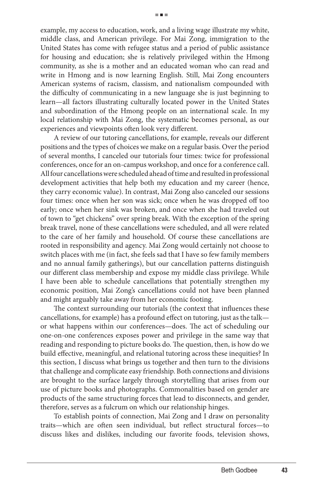example, my access to education, work, and a living wage illustrate my white, middle class, and American privilege. For Mai Zong, immigration to the United States has come with refugee status and a period of public assistance for housing and education; she is relatively privileged within the Hmong community, as she is a mother and an educated woman who can read and write in Hmong and is now learning English. Still, Mai Zong encounters American systems of racism, classism, and nationalism compounded with the difficulty of communicating in a new language she is just beginning to learn—all factors illustrating culturally located power in the United States and subordination of the Hmong people on an international scale. In my local relationship with Mai Zong, the systematic becomes personal, as our experiences and viewpoints often look very different.

A review of our tutoring cancellations, for example, reveals our different positions and the types of choices we make on a regular basis. Over the period of several months, I canceled our tutorials four times: twice for professional conferences, once for an on-campus workshop, and once for a conference call. All four cancellations were scheduled ahead of time and resulted in professional development activities that help both my education and my career (hence, they carry economic value). In contrast, Mai Zong also canceled our sessions four times: once when her son was sick; once when he was dropped off too early; once when her sink was broken, and once when she had traveled out of town to "get chickens" over spring break. With the exception of the spring break travel, none of these cancellations were scheduled, and all were related to the care of her family and household. Of course these cancellations are rooted in responsibility and agency. Mai Zong would certainly not choose to switch places with me (in fact, she feels sad that I have so few family members and no annual family gatherings), but our cancellation patterns distinguish our different class membership and expose my middle class privilege. While I have been able to schedule cancellations that potentially strengthen my economic position, Mai Zong's cancellations could not have been planned and might arguably take away from her economic footing.

The context surrounding our tutorials (the context that influences these cancellations, for example) has a profound effect on tutoring, just as the talk or what happens within our conferences—does. The act of scheduling our one-on-one conferences exposes power and privilege in the same way that reading and responding to picture books do. The question, then, is how do we build effective, meaningful, and relational tutoring across these inequities? In this section, I discuss what brings us together and then turn to the divisions that challenge and complicate easy friendship. Both connections and divisions are brought to the surface largely through storytelling that arises from our use of picture books and photographs. Commonalities based on gender are products of the same structuring forces that lead to disconnects, and gender, therefore, serves as a fulcrum on which our relationship hinges.

To establish points of connection, Mai Zong and I draw on personality traits—which are often seen individual, but reflect structural forces—to discuss likes and dislikes, including our favorite foods, television shows,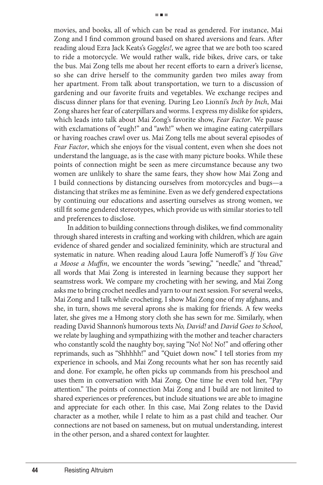movies, and books, all of which can be read as gendered. For instance, Mai Zong and I find common ground based on shared aversions and fears. After reading aloud Ezra Jack Keats's *Goggles!*, we agree that we are both too scared to ride a motorcycle. We would rather walk, ride bikes, drive cars, or take the bus. Mai Zong tells me about her recent efforts to earn a driver's license, so she can drive herself to the community garden two miles away from her apartment. From talk about transportation, we turn to a discussion of gardening and our favorite fruits and vegetables. We exchange recipes and discuss dinner plans for that evening. During Leo Lionni's *Inch by Inch*, Mai Zong shares her fear of caterpillars and worms. I express my dislike for spiders, which leads into talk about Mai Zong's favorite show, *Fear Factor*. We pause with exclamations of "eugh!" and "awh!" when we imagine eating caterpillars or having roaches crawl over us. Mai Zong tells me about several episodes of *Fear Factor*, which she enjoys for the visual content, even when she does not understand the language, as is the case with many picture books. While these points of connection might be seen as mere circumstance because any two women are unlikely to share the same fears, they show how Mai Zong and I build connections by distancing ourselves from motorcycles and bugs—a distancing that strikes me as feminine. Even as we defy gendered expectations by continuing our educations and asserting ourselves as strong women, we still fit some gendered stereotypes, which provide us with similar stories to tell and preferences to disclose.

In addition to building connections through dislikes, we find commonality through shared interests in crafting and working with children, which are again evidence of shared gender and socialized femininity, which are structural and systematic in nature. When reading aloud Laura Joffe Numeroff's *If You Give a Moose a Muffin*, we encounter the words "sewing," "needle," and "thread," all words that Mai Zong is interested in learning because they support her seamstress work. We compare my crocheting with her sewing, and Mai Zong asks me to bring crochet needles and yarn to our next session. For several weeks, Mai Zong and I talk while crocheting. I show Mai Zong one of my afghans, and she, in turn, shows me several aprons she is making for friends. A few weeks later, she gives me a Hmong story cloth she has sewn for me. Similarly, when reading David Shannon's humorous texts *No, David!* and *David Goes to School*, we relate by laughing and sympathizing with the mother and teacher characters who constantly scold the naughty boy, saying "No! No! No!" and offering other reprimands, such as "Shhhhh!" and "Quiet down now." I tell stories from my experience in schools, and Mai Zong recounts what her son has recently said and done. For example, he often picks up commands from his preschool and uses them in conversation with Mai Zong. One time he even told her, "Pay attention." The points of connection Mai Zong and I build are not limited to shared experiences or preferences, but include situations we are able to imagine and appreciate for each other. In this case, Mai Zong relates to the David character as a mother, while I relate to him as a past child and teacher. Our connections are not based on sameness, but on mutual understanding, interest in the other person, and a shared context for laughter.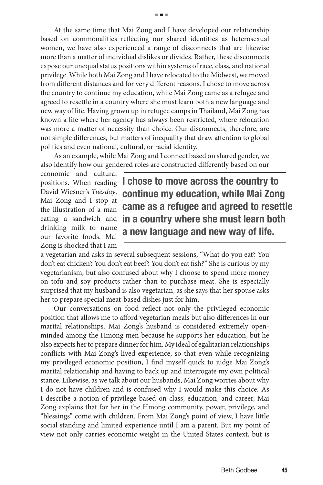At the same time that Mai Zong and I have developed our relationship based on commonalities reflecting our shared identities as heterosexual women, we have also experienced a range of disconnects that are likewise more than a matter of individual dislikes or divides. Rather, these disconnects expose our unequal status positions within systems of race, class, and national privilege. While both Mai Zong and I have relocated to the Midwest, we moved from different distances and for very different reasons. I chose to move across the country to continue my education, while Mai Zong came as a refugee and agreed to resettle in a country where she must learn both a new language and new way of life. Having grown up in refugee camps in Thailand, Mai Zong has known a life where her agency has always been restricted, where relocation was more a matter of necessity than choice. Our disconnects, therefore, are not simple differences, but matters of inequality that draw attention to global politics and even national, cultural, or racial identity.

As an example, while Mai Zong and I connect based on shared gender, we also identify how our gendered roles are constructed differently based on our

economic and cultural positions. When reading David Wiesner's *Tuesday*, Mai Zong and I stop at the illustration of a man drinking milk to name our favorite foods. Mai Zong is shocked that I am

eating a sandwich and **in a country where she must learn both I chose to move across the country to continue my education, while Mai Zong came as a refugee and agreed to resettle a new language and new way of life.** 

a vegetarian and asks in several subsequent sessions, "What do you eat? You don't eat chicken? You don't eat beef? You don't eat fish?" She is curious by my vegetarianism, but also confused about why I choose to spend more money on tofu and soy products rather than to purchase meat. She is especially surprised that my husband is also vegetarian, as she says that her spouse asks her to prepare special meat-based dishes just for him.

Our conversations on food reflect not only the privileged economic position that allows me to afford vegetarian meals but also differences in our marital relationships. Mai Zong's husband is considered extremely openminded among the Hmong men because he supports her education, but he also expects her to prepare dinner for him. My ideal of egalitarian relationships conflicts with Mai Zong's lived experience, so that even while recognizing my privileged economic position, I find myself quick to judge Mai Zong's marital relationship and having to back up and interrogate my own political stance. Likewise, as we talk about our husbands, Mai Zong worries about why I do not have children and is confused why I would make this choice. As I describe a notion of privilege based on class, education, and career, Mai Zong explains that for her in the Hmong community, power, privilege, and "blessings" come with children. From Mai Zong's point of view, I have little social standing and limited experience until I am a parent. But my point of view not only carries economic weight in the United States context, but is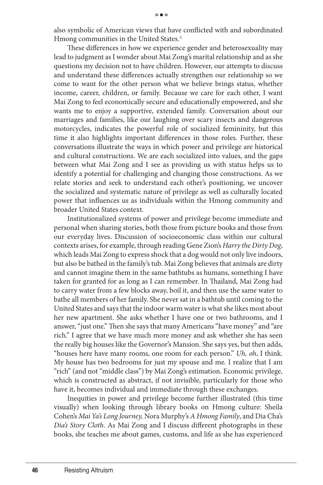also symbolic of American views that have conflicted with and subordinated Hmong communities in the United States.<sup>4</sup>

These differences in how we experience gender and heterosexuality may lead to judgment as I wonder about Mai Zong's marital relationship and as she questions my decision not to have children. However, our attempts to discuss and understand these differences actually strengthen our relationship so we come to want for the other person what we believe brings status, whether income, career, children, or family. Because we care for each other, I want Mai Zong to feel economically secure and educationally empowered, and she wants me to enjoy a supportive, extended family. Conversation about our marriages and families, like our laughing over scary insects and dangerous motorcycles, indicates the powerful role of socialized femininity, but this time it also highlights important differences in those roles. Further, these conversations illustrate the ways in which power and privilege are historical and cultural constructions. We are each socialized into values, and the gaps between what Mai Zong and I see as providing us with status helps us to identify a potential for challenging and changing those constructions. As we relate stories and seek to understand each other's positioning, we uncover the socialized and systematic nature of privilege as well as culturally located power that influences us as individuals within the Hmong community and broader United States context.

Institutionalized systems of power and privilege become immediate and personal when sharing stories, both those from picture books and those from our everyday lives. Discussion of socioeconomic class within our cultural contexts arises, for example, through reading Gene Zion's *Harry the Dirty Dog*, which leads Mai Zong to express shock that a dog would not only live indoors, but also be bathed in the family's tub. Mai Zong believes that animals are dirty and cannot imagine them in the same bathtubs as humans, something I have taken for granted for as long as I can remember. In Thailand, Mai Zong had to carry water from a few blocks away, boil it, and then use the same water to bathe all members of her family. She never sat in a bathtub until coming to the United States and says that the indoor warm water is what she likes most about her new apartment. She asks whether I have one or two bathrooms, and I answer, "just one." Then she says that many Americans "have money" and "are rich." I agree that we have much more money and ask whether she has seen the really big houses like the Governor's Mansion. She says yes, but then adds, "houses here have many rooms, one room for each person." *Uh, oh*, I think. My house has two bedrooms for just my spouse and me. I realize that I am "rich" (and not "middle class") by Mai Zong's estimation. Economic privilege, which is constructed as abstract, if not invisible, particularly for those who have it, becomes individual and immediate through these exchanges.

Inequities in power and privilege become further illustrated (this time visually) when looking through library books on Hmong culture: Sheila Cohen's *Mai Ya's Long Journey,* Nora Murphy's *A Hmong Family*, and Dia Cha's *Dia's Story Cloth*. As Mai Zong and I discuss different photographs in these books, she teaches me about games, customs, and life as she has experienced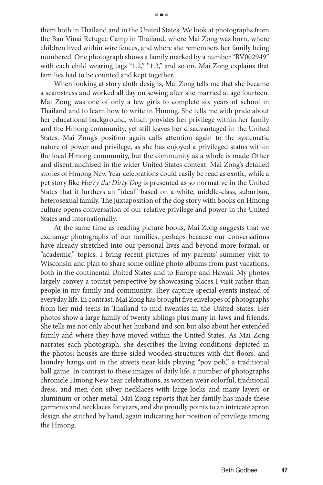them both in Thailand and in the United States. We look at photographs from the Ban Vinai Refugee Camp in Thailand, where Mai Zong was born, where children lived within wire fences, and where she remembers her family being numbered. One photograph shows a family marked by a number "BV002949" with each child wearing tags "1.2," "1.3," and so on. Mai Zong explains that families had to be counted and kept together.

When looking at story cloth designs, Mai Zong tells me that she became a seamstress and worked all day on sewing after she married at age fourteen. Mai Zong was one of only a few girls to complete six years of school in Thailand and to learn how to write in Hmong. She tells me with pride about her educational background, which provides her privilege within her family and the Hmong community, yet still leaves her disadvantaged in the United States. Mai Zong's position again calls attention again to the systematic nature of power and privilege, as she has enjoyed a privileged status within the local Hmong community, but the community as a whole is made Other and disenfranchised in the wider United States context. Mai Zong's detailed stories of Hmong New Year celebrations could easily be read as exotic, while a pet story like *Harry the Dirty Dog* is presented as so normative in the United States that it furthers an "ideal" based on a white, middle-class, suburban, heterosexual family. The juxtaposition of the dog story with books on Hmong culture opens conversation of our relative privilege and power in the United States and internationally.

At the same time as reading picture books, Mai Zong suggests that we exchange photographs of our families, perhaps because our conversations have already stretched into our personal lives and beyond more formal, or "academic," topics. I bring recent pictures of my parents' summer visit to Wisconsin and plan to share some online photo albums from past vacations, both in the continental United States and to Europe and Hawaii. My photos largely convey a tourist perspective by showcasing places I visit rather than people in my family and community. They capture special events instead of everyday life. In contrast, Mai Zong has brought five envelopes of photographs from her mid-teens in Thailand to mid-twenties in the United States. Her photos show a large family of twenty siblings plus many in-laws and friends. She tells me not only about her husband and son but also about her extended family and where they have moved within the United States. As Mai Zong narrates each photograph, she describes the living conditions depicted in the photos: houses are three-sided wooden structures with dirt floors, and laundry hangs out in the streets near kids playing "pov pob," a traditional ball game. In contrast to these images of daily life, a number of photographs chronicle Hmong New Year celebrations, as women wear colorful, traditional dress, and men don silver necklaces with large locks and many layers or aluminum or other metal. Mai Zong reports that her family has made these garments and necklaces for years, and she proudly points to an intricate apron design she stitched by hand, again indicating her position of privilege among the Hmong.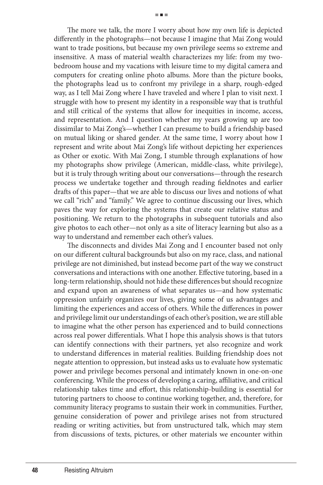The more we talk, the more I worry about how my own life is depicted differently in the photographs—not because I imagine that Mai Zong would want to trade positions, but because my own privilege seems so extreme and insensitive. A mass of material wealth characterizes my life: from my twobedroom house and my vacations with leisure time to my digital camera and computers for creating online photo albums. More than the picture books, the photographs lead us to confront my privilege in a sharp, rough-edged way, as I tell Mai Zong where I have traveled and where I plan to visit next. I struggle with how to present my identity in a responsible way that is truthful and still critical of the systems that allow for inequities in income, access, and representation. And I question whether my years growing up are too dissimilar to Mai Zong's—whether I can presume to build a friendship based on mutual liking or shared gender. At the same time, I worry about how I represent and write about Mai Zong's life without depicting her experiences as Other or exotic. With Mai Zong, I stumble through explanations of how my photographs show privilege (American, middle-class, white privilege), but it is truly through writing about our conversations—through the research process we undertake together and through reading fieldnotes and earlier

drafts of this paper—that we are able to discuss our lives and notions of what we call "rich" and "family." We agree to continue discussing our lives, which paves the way for exploring the systems that create our relative status and positioning. We return to the photographs in subsequent tutorials and also give photos to each other—not only as a site of literacy learning but also as a way to understand and remember each other's values.

The disconnects and divides Mai Zong and I encounter based not only on our different cultural backgrounds but also on my race, class, and national privilege are not diminished, but instead become part of the way we construct conversations and interactions with one another. Effective tutoring, based in a long-term relationship, should not hide these differences but should recognize and expand upon an awareness of what separates us—and how systematic oppression unfairly organizes our lives, giving some of us advantages and limiting the experiences and access of others. While the differences in power and privilege limit our understandings of each other's position, we are still able to imagine what the other person has experienced and to build connections across real power differentials. What I hope this analysis shows is that tutors can identify connections with their partners, yet also recognize and work to understand differences in material realities. Building friendship does not negate attention to oppression, but instead asks us to evaluate how systematic power and privilege becomes personal and intimately known in one-on-one conferencing. While the process of developing a caring, affiliative, and critical relationship takes time and effort, this relationship-building is essential for tutoring partners to choose to continue working together, and, therefore, for community literacy programs to sustain their work in communities. Further, genuine consideration of power and privilege arises not from structured reading or writing activities, but from unstructured talk, which may stem from discussions of texts, pictures, or other materials we encounter within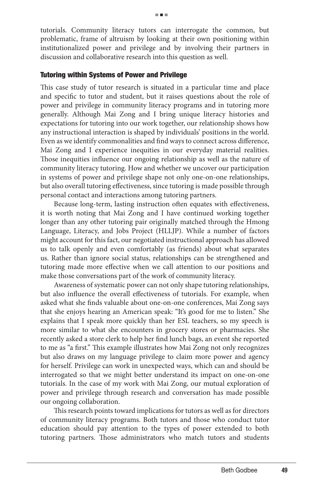tutorials. Community literacy tutors can interrogate the common, but problematic, frame of altruism by looking at their own positioning within institutionalized power and privilege and by involving their partners in discussion and collaborative research into this question as well.

#### Tutoring within Systems of Power and Privilege

This case study of tutor research is situated in a particular time and place and specific to tutor and student, but it raises questions about the role of power and privilege in community literacy programs and in tutoring more generally. Although Mai Zong and I bring unique literacy histories and expectations for tutoring into our work together, our relationship shows how any instructional interaction is shaped by individuals' positions in the world. Even as we identify commonalities and find ways to connect across difference, Mai Zong and I experience inequities in our everyday material realities. Those inequities influence our ongoing relationship as well as the nature of community literacy tutoring. How and whether we uncover our participation in systems of power and privilege shape not only one-on-one relationships, but also overall tutoring effectiveness, since tutoring is made possible through personal contact and interactions among tutoring partners.

Because long-term, lasting instruction often equates with effectiveness, it is worth noting that Mai Zong and I have continued working together longer than any other tutoring pair originally matched through the Hmong Language, Literacy, and Jobs Project (HLLJP). While a number of factors might account for this fact, our negotiated instructional approach has allowed us to talk openly and even comfortably (as friends) about what separates us. Rather than ignore social status, relationships can be strengthened and tutoring made more effective when we call attention to our positions and make those conversations part of the work of community literacy.

Awareness of systematic power can not only shape tutoring relationships, but also influence the overall effectiveness of tutorials. For example, when asked what she finds valuable about one-on-one conferences, Mai Zong says that she enjoys hearing an American speak: "It's good for me to listen." She explains that I speak more quickly than her ESL teachers, so my speech is more similar to what she encounters in grocery stores or pharmacies. She recently asked a store clerk to help her find lunch bags, an event she reported to me as "a first." This example illustrates how Mai Zong not only recognizes but also draws on my language privilege to claim more power and agency for herself. Privilege can work in unexpected ways, which can and should be interrogated so that we might better understand its impact on one-on-one tutorials. In the case of my work with Mai Zong, our mutual exploration of power and privilege through research and conversation has made possible our ongoing collaboration.

This research points toward implications for tutors as well as for directors of community literacy programs. Both tutors and those who conduct tutor education should pay attention to the types of power extended to both tutoring partners. Those administrators who match tutors and students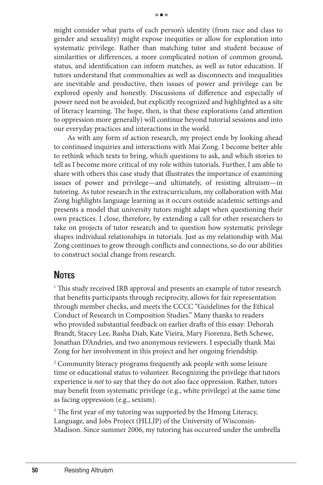might consider what parts of each person's identity (from race and class to gender and sexuality) might expose inequities or allow for exploration into systematic privilege. Rather than matching tutor and student because of similarities or differences, a more complicated notion of common ground, status, and identification can inform matches, as well as tutor education. If tutors understand that commonalties as well as disconnects and inequalities are inevitable and productive, then issues of power and privilege can be explored openly and honestly. Discussions of difference and especially of power need not be avoided, but explicitly recognized and highlighted as a site of literacy learning. The hope, then, is that these explorations (and attention to oppression more generally) will continue beyond tutorial sessions and into our everyday practices and interactions in the world.

As with any form of action research, my project ends by looking ahead to continued inquiries and interactions with Mai Zong. I become better able to rethink which texts to bring, which questions to ask, and which stories to tell as I become more critical of my role within tutorials. Further, I am able to share with others this case study that illustrates the importance of examining issues of power and privilege—and ultimately, of resisting altruism—in tutoring. As tutor research in the extracurriculum, my collaboration with Mai Zong highlights language learning as it occurs outside academic settings and presents a model that university tutors might adapt when questioning their own practices. I close, therefore, by extending a call for other researchers to take on projects of tutor research and to question how systematic privilege shapes individual relationships in tutorials. Just as my relationship with Mai Zong continues to grow through conflicts and connections, so do our abilities to construct social change from research.

## **Notes**

<sup>1</sup> This study received IRB approval and presents an example of tutor research that benefits participants through reciprocity, allows for fair representation through member checks, and meets the CCCC "Guidelines for the Ethical Conduct of Research in Composition Studies." Many thanks to readers who provided substantial feedback on earlier drafts of this essay: Deborah Brandt, Stacey Lee, Rasha Diab, Kate Vieira, Mary Fiorenza, Beth Schewe, Jonathan D'Andries, and two anonymous reviewers. I especially thank Mai Zong for her involvement in this project and her ongoing friendship.

<sup>2</sup> Community literacy programs frequently ask people with some leisure time or educational status to volunteer. Recognizing the privilege that tutors experience is *not* to say that they do not also face oppression. Rather, tutors may benefit from systematic privilege (e.g., white privilege) at the same time as facing oppression (e.g., sexism).

<sup>3</sup> The first year of my tutoring was supported by the Hmong Literacy, Language, and Jobs Project (HLLJP) of the University of Wisconsin-Madison. Since summer 2006, my tutoring has occurred under the umbrella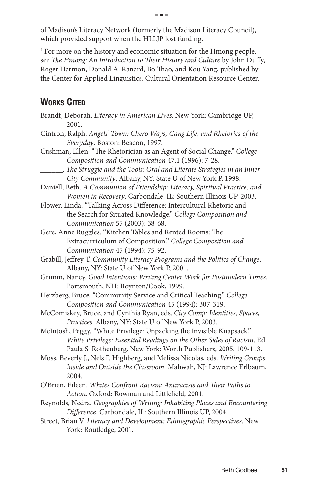of Madison's Literacy Network (formerly the Madison Literacy Council), which provided support when the HLLJP lost funding.

4 For more on the history and economic situation for the Hmong people, see *The Hmong: An Introduction to Their History and Culture* by John Duffy, Roger Harmon, Donald A. Ranard, Bo Thao, and Kou Yang, published by the Center for Applied Linguistics, Cultural Orientation Resource Center.

## **Works Cited**

| Brandt, Deborah. Literacy in American Lives. New York: Cambridge UP,<br>2001. |
|-------------------------------------------------------------------------------|
| Cintron, Ralph. Angels' Town: Chero Ways, Gang Life, and Rhetorics of the     |
| Everyday. Boston: Beacon, 1997.                                               |
| Cushman, Ellen. "The Rhetorician as an Agent of Social Change." College       |
| Composition and Communication 47.1 (1996): 7-28.                              |
| . The Struggle and the Tools: Oral and Literate Strategies in an Inner        |
| City Community. Albany, NY: State U of New York P, 1998.                      |
| Daniell, Beth. A Communion of Friendship: Literacy, Spiritual Practice, and   |
| Women in Recovery. Carbondale, IL: Southern Illinois UP, 2003.                |
| Flower, Linda. "Talking Across Difference: Intercultural Rhetoric and         |
| the Search for Situated Knowledge." College Composition and                   |
| Communication 55 (2003): 38-68.                                               |
| Gere, Anne Ruggles. "Kitchen Tables and Rented Rooms: The                     |
| Extracurriculum of Composition." College Composition and                      |
| Communication 45 (1994): 75-92.                                               |
| Grabill, Jeffrey T. Community Literacy Programs and the Politics of Change.   |
| Albany, NY: State U of New York P, 2001.                                      |
| Grimm, Nancy. Good Intentions: Writing Center Work for Postmodern Times.      |
| Portsmouth, NH: Boynton/Cook, 1999.                                           |
| Herzberg, Bruce. "Community Service and Critical Teaching." College           |
| Composition and Communication 45 (1994): 307-319.                             |
| McComiskey, Bruce, and Cynthia Ryan, eds. City Comp: Identities, Spaces,      |
| Practices. Albany, NY: State U of New York P, 2003.                           |
| McIntosh, Peggy. "White Privilege: Unpacking the Invisible Knapsack."         |
| White Privilege: Essential Readings on the Other Sides of Racism. Ed.         |
| Paula S. Rothenberg. New York: Worth Publishers, 2005. 109-113.               |
| Moss, Beverly J., Nels P. Highberg, and Melissa Nicolas, eds. Writing Groups  |
| Inside and Outside the Classroom. Mahwah, NJ: Lawrence Erlbaum,               |
| 2004.                                                                         |
| O'Brien, Eileen. Whites Confront Racism: Antiracists and Their Paths to       |
| Action. Oxford: Rowman and Littlefield, 2001.                                 |
| Reynolds, Nedra. Geographies of Writing: Inhabiting Places and Encountering   |
| Difference. Carbondale, IL: Southern Illinois UP, 2004.                       |
| Street, Brian V. Literacy and Development: Ethnographic Perspectives. New     |
| York: Routledge, 2001.                                                        |
|                                                                               |